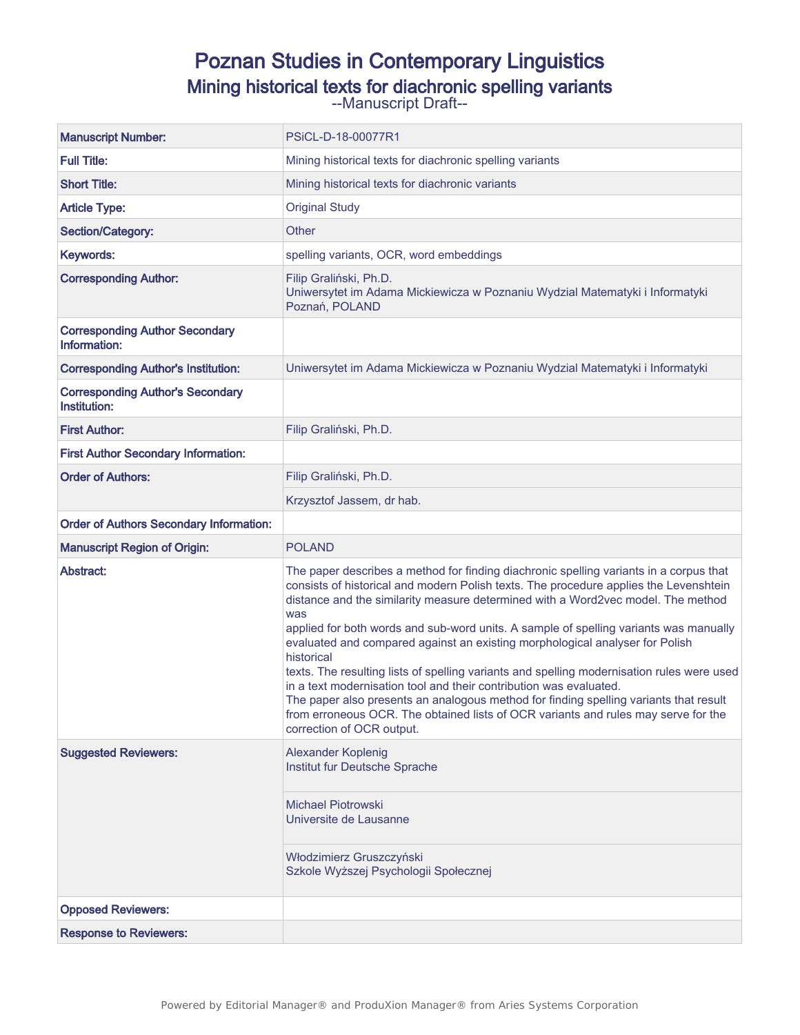# Poznan Studies in Contemporary Linguistics

Mining historical texts for diachronic spelling variants

--Manuscript Draft--

| <b>Manuscript Number:</b>                               | PSiCL-D-18-00077R1                                                                                                                                                                                                                                                                                                                                                                                                                                                                                                                                                                                                                                                                                                                                                                                                                                |  |  |
|---------------------------------------------------------|---------------------------------------------------------------------------------------------------------------------------------------------------------------------------------------------------------------------------------------------------------------------------------------------------------------------------------------------------------------------------------------------------------------------------------------------------------------------------------------------------------------------------------------------------------------------------------------------------------------------------------------------------------------------------------------------------------------------------------------------------------------------------------------------------------------------------------------------------|--|--|
| <b>Full Title:</b>                                      | Mining historical texts for diachronic spelling variants                                                                                                                                                                                                                                                                                                                                                                                                                                                                                                                                                                                                                                                                                                                                                                                          |  |  |
| <b>Short Title:</b>                                     | Mining historical texts for diachronic variants                                                                                                                                                                                                                                                                                                                                                                                                                                                                                                                                                                                                                                                                                                                                                                                                   |  |  |
| <b>Article Type:</b>                                    | <b>Original Study</b>                                                                                                                                                                                                                                                                                                                                                                                                                                                                                                                                                                                                                                                                                                                                                                                                                             |  |  |
| Section/Category:                                       | Other                                                                                                                                                                                                                                                                                                                                                                                                                                                                                                                                                                                                                                                                                                                                                                                                                                             |  |  |
| Keywords:                                               | spelling variants, OCR, word embeddings                                                                                                                                                                                                                                                                                                                                                                                                                                                                                                                                                                                                                                                                                                                                                                                                           |  |  |
| <b>Corresponding Author:</b>                            | Filip Graliński, Ph.D.<br>Uniwersytet im Adama Mickiewicza w Poznaniu Wydzial Matematyki i Informatyki<br>Poznań, POLAND                                                                                                                                                                                                                                                                                                                                                                                                                                                                                                                                                                                                                                                                                                                          |  |  |
| <b>Corresponding Author Secondary</b><br>Information:   |                                                                                                                                                                                                                                                                                                                                                                                                                                                                                                                                                                                                                                                                                                                                                                                                                                                   |  |  |
| <b>Corresponding Author's Institution:</b>              | Uniwersytet im Adama Mickiewicza w Poznaniu Wydzial Matematyki i Informatyki                                                                                                                                                                                                                                                                                                                                                                                                                                                                                                                                                                                                                                                                                                                                                                      |  |  |
| <b>Corresponding Author's Secondary</b><br>Institution: |                                                                                                                                                                                                                                                                                                                                                                                                                                                                                                                                                                                                                                                                                                                                                                                                                                                   |  |  |
| <b>First Author:</b>                                    | Filip Graliński, Ph.D.                                                                                                                                                                                                                                                                                                                                                                                                                                                                                                                                                                                                                                                                                                                                                                                                                            |  |  |
| <b>First Author Secondary Information:</b>              |                                                                                                                                                                                                                                                                                                                                                                                                                                                                                                                                                                                                                                                                                                                                                                                                                                                   |  |  |
| <b>Order of Authors:</b>                                | Filip Graliński, Ph.D.                                                                                                                                                                                                                                                                                                                                                                                                                                                                                                                                                                                                                                                                                                                                                                                                                            |  |  |
|                                                         | Krzysztof Jassem, dr hab.                                                                                                                                                                                                                                                                                                                                                                                                                                                                                                                                                                                                                                                                                                                                                                                                                         |  |  |
|                                                         |                                                                                                                                                                                                                                                                                                                                                                                                                                                                                                                                                                                                                                                                                                                                                                                                                                                   |  |  |
| <b>Order of Authors Secondary Information:</b>          |                                                                                                                                                                                                                                                                                                                                                                                                                                                                                                                                                                                                                                                                                                                                                                                                                                                   |  |  |
| <b>Manuscript Region of Origin:</b>                     | <b>POLAND</b>                                                                                                                                                                                                                                                                                                                                                                                                                                                                                                                                                                                                                                                                                                                                                                                                                                     |  |  |
| Abstract:                                               | The paper describes a method for finding diachronic spelling variants in a corpus that<br>consists of historical and modern Polish texts. The procedure applies the Levenshtein<br>distance and the similarity measure determined with a Word2vec model. The method<br>was<br>applied for both words and sub-word units. A sample of spelling variants was manually<br>evaluated and compared against an existing morphological analyser for Polish<br>historical<br>texts. The resulting lists of spelling variants and spelling modernisation rules were used<br>in a text modernisation tool and their contribution was evaluated.<br>The paper also presents an analogous method for finding spelling variants that result<br>from erroneous OCR. The obtained lists of OCR variants and rules may serve for the<br>correction of OCR output. |  |  |
| <b>Suggested Reviewers:</b>                             | Alexander Koplenig<br>Institut fur Deutsche Sprache<br><b>Michael Piotrowski</b><br>Universite de Lausanne<br>Włodzimierz Gruszczyński<br>Szkole Wyższej Psychologii Społecznej                                                                                                                                                                                                                                                                                                                                                                                                                                                                                                                                                                                                                                                                   |  |  |
| <b>Opposed Reviewers:</b>                               |                                                                                                                                                                                                                                                                                                                                                                                                                                                                                                                                                                                                                                                                                                                                                                                                                                                   |  |  |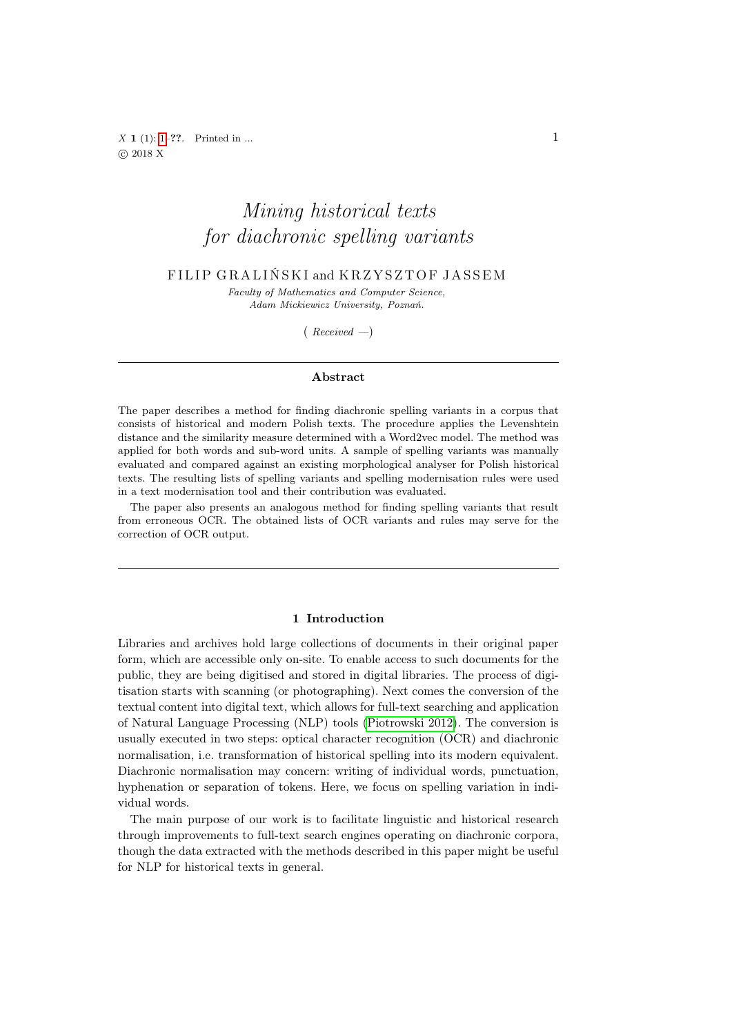<span id="page-1-0"></span> $X \mathbf{1} (1) : 1-??.$  Printed in ...  $C$  2018 X

# Mining historical texts for diachronic spelling variants

# FILIP GRALIŃSKI and KRZYSZTOF JASSEM

Faculty of Mathematics and Computer Science, Adam Mickiewicz University, Poznań.

 $(Received - )$ 

#### Abstract

The paper describes a method for finding diachronic spelling variants in a corpus that consists of historical and modern Polish texts. The procedure applies the Levenshtein distance and the similarity measure determined with a Word2vec model. The method was applied for both words and sub-word units. A sample of spelling variants was manually evaluated and compared against an existing morphological analyser for Polish historical texts. The resulting lists of spelling variants and spelling modernisation rules were used in a text modernisation tool and their contribution was evaluated.

The paper also presents an analogous method for finding spelling variants that result from erroneous OCR. The obtained lists of OCR variants and rules may serve for the correction of OCR output.

#### 1 Introduction

Libraries and archives hold large collections of documents in their original paper form, which are accessible only on-site. To enable access to such documents for the public, they are being digitised and stored in digital libraries. The process of digitisation starts with scanning (or photographing). Next comes the conversion of the textual content into digital text, which allows for full-text searching and application of Natural Language Processing (NLP) tools [\(Piotrowski 2012\)](#page-18-0). The conversion is usually executed in two steps: optical character recognition (OCR) and diachronic normalisation, i.e. transformation of historical spelling into its modern equivalent. Diachronic normalisation may concern: writing of individual words, punctuation, hyphenation or separation of tokens. Here, we focus on spelling variation in individual words.

The main purpose of our work is to facilitate linguistic and historical research through improvements to full-text search engines operating on diachronic corpora, though the data extracted with the methods described in this paper might be useful for NLP for historical texts in general.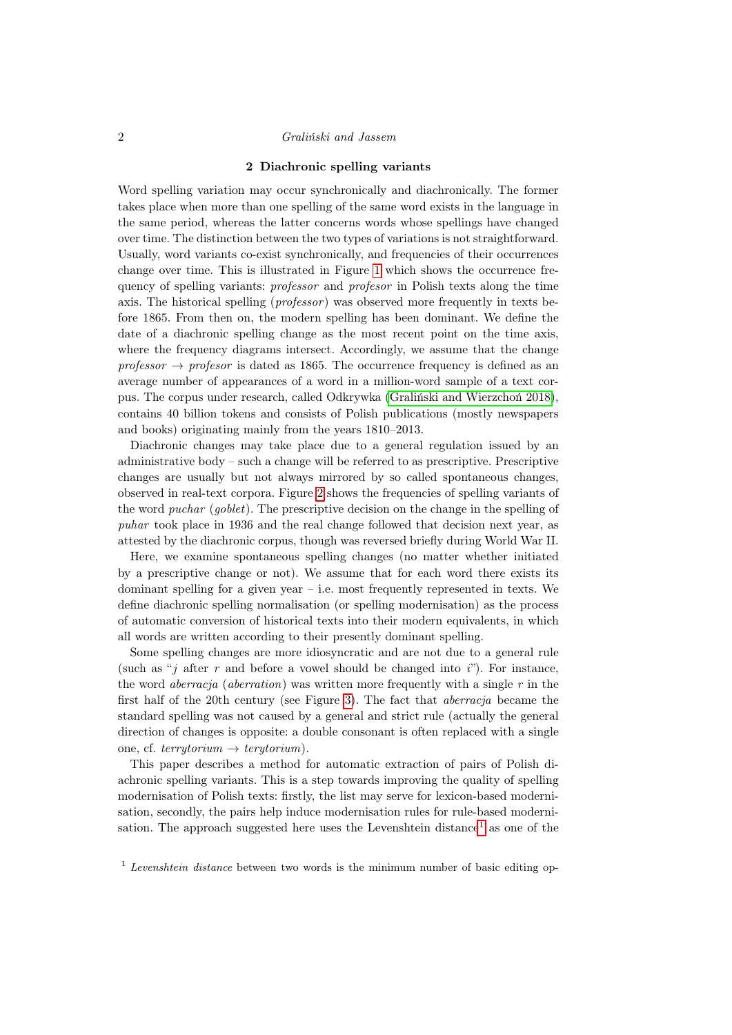#### 2 Diachronic spelling variants

Word spelling variation may occur synchronically and diachronically. The former takes place when more than one spelling of the same word exists in the language in the same period, whereas the latter concerns words whose spellings have changed over time. The distinction between the two types of variations is not straightforward. Usually, word variants co-exist synchronically, and frequencies of their occurrences change over time. This is illustrated in Figure [1](#page-3-0) which shows the occurrence frequency of spelling variants: professor and profesor in Polish texts along the time axis. The historical spelling (*professor*) was observed more frequently in texts before 1865. From then on, the modern spelling has been dominant. We define the date of a diachronic spelling change as the most recent point on the time axis, where the frequency diagrams intersect. Accordingly, we assume that the change professor  $\rightarrow$  professor is dated as 1865. The occurrence frequency is defined as an average number of appearances of a word in a million-word sample of a text corpus. The corpus under research, called Odkrywka [\(Graliński and Wierzchoń 2018\)](#page-18-1), contains 40 billion tokens and consists of Polish publications (mostly newspapers and books) originating mainly from the years 1810–2013.

Diachronic changes may take place due to a general regulation issued by an administrative body – such a change will be referred to as prescriptive. Prescriptive changes are usually but not always mirrored by so called spontaneous changes, observed in real-text corpora. Figure [2](#page-4-0) shows the frequencies of spelling variants of the word puchar (goblet). The prescriptive decision on the change in the spelling of puhar took place in 1936 and the real change followed that decision next year, as attested by the diachronic corpus, though was reversed briefly during World War II.

Here, we examine spontaneous spelling changes (no matter whether initiated by a prescriptive change or not). We assume that for each word there exists its dominant spelling for a given year  $-$  i.e. most frequently represented in texts. We define diachronic spelling normalisation (or spelling modernisation) as the process of automatic conversion of historical texts into their modern equivalents, in which all words are written according to their presently dominant spelling.

Some spelling changes are more idiosyncratic and are not due to a general rule (such as "j after r and before a vowel should be changed into i"). For instance, the word *aberracja* (*aberration*) was written more frequently with a single  $r$  in the first half of the 20th century (see Figure [3\)](#page-5-0). The fact that aberracja became the standard spelling was not caused by a general and strict rule (actually the general direction of changes is opposite: a double consonant is often replaced with a single one, cf. terrytorium  $\rightarrow$  terytorium).

This paper describes a method for automatic extraction of pairs of Polish diachronic spelling variants. This is a step towards improving the quality of spelling modernisation of Polish texts: firstly, the list may serve for lexicon-based modernisation, secondly, the pairs help induce modernisation rules for rule-based moderni-sation. The approach suggested here uses the Levenshtein distance<sup>[1](#page-2-0)</sup> as one of the

<span id="page-2-0"></span> $1$  Levenshtein distance between two words is the minimum number of basic editing op-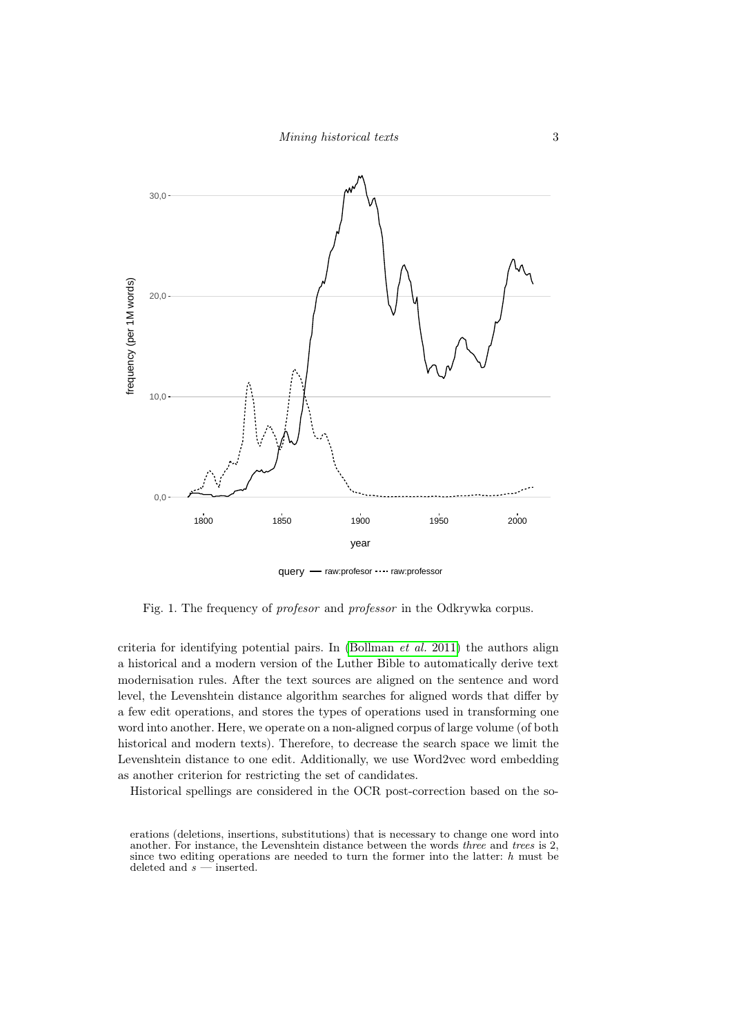

<span id="page-3-0"></span>Fig. 1. The frequency of profesor and professor in the Odkrywka corpus.

criteria for identifying potential pairs. In  $(Bollman et al. 2011)$  $(Bollman et al. 2011)$  the authors align a historical and a modern version of the Luther Bible to automatically derive text modernisation rules. After the text sources are aligned on the sentence and word level, the Levenshtein distance algorithm searches for aligned words that differ by a few edit operations, and stores the types of operations used in transforming one word into another. Here, we operate on a non-aligned corpus of large volume (of both historical and modern texts). Therefore, to decrease the search space we limit the Levenshtein distance to one edit. Additionally, we use Word2vec word embedding as another criterion for restricting the set of candidates.

Historical spellings are considered in the OCR post-correction based on the so-

erations (deletions, insertions, substitutions) that is necessary to change one word into another. For instance, the Levenshtein distance between the words three and trees is 2, since two editing operations are needed to turn the former into the latter: h must be deleted and  $s$  — inserted.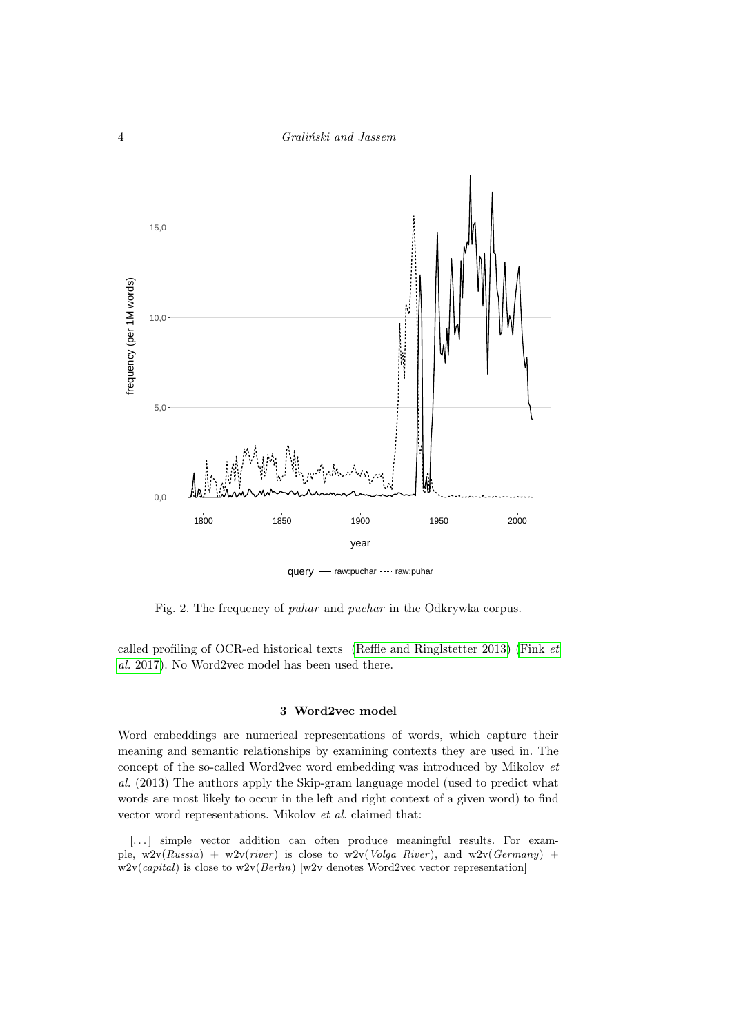

<span id="page-4-0"></span>Fig. 2. The frequency of puhar and puchar in the Odkrywka corpus.

called profiling of OCR-ed historical texts (Reffle and Ringl<br/>stetter 2013) [\(Fink](#page-18-4) $\,et\,$ al. [2017\)](#page-18-4). No Word2vec model has been used there.

# 3 Word2vec model

Word embeddings are numerical representations of words, which capture their meaning and semantic relationships by examining contexts they are used in. The concept of the so-called Word2vec word embedding was introduced by Mikolov et al. (2013) The authors apply the Skip-gram language model (used to predict what words are most likely to occur in the left and right context of a given word) to find vector word representations. Mikolov et al. claimed that:

[...] simple vector addition can often produce meaningful results. For example,  $w2v(Russia) + w2v(river)$  is close to  $w2v(Volga River)$ , and  $w2v(Germany) +$  $w2v(capital)$  is close to  $w2v(Berlin)$  [w2v denotes Word2vec vector representation]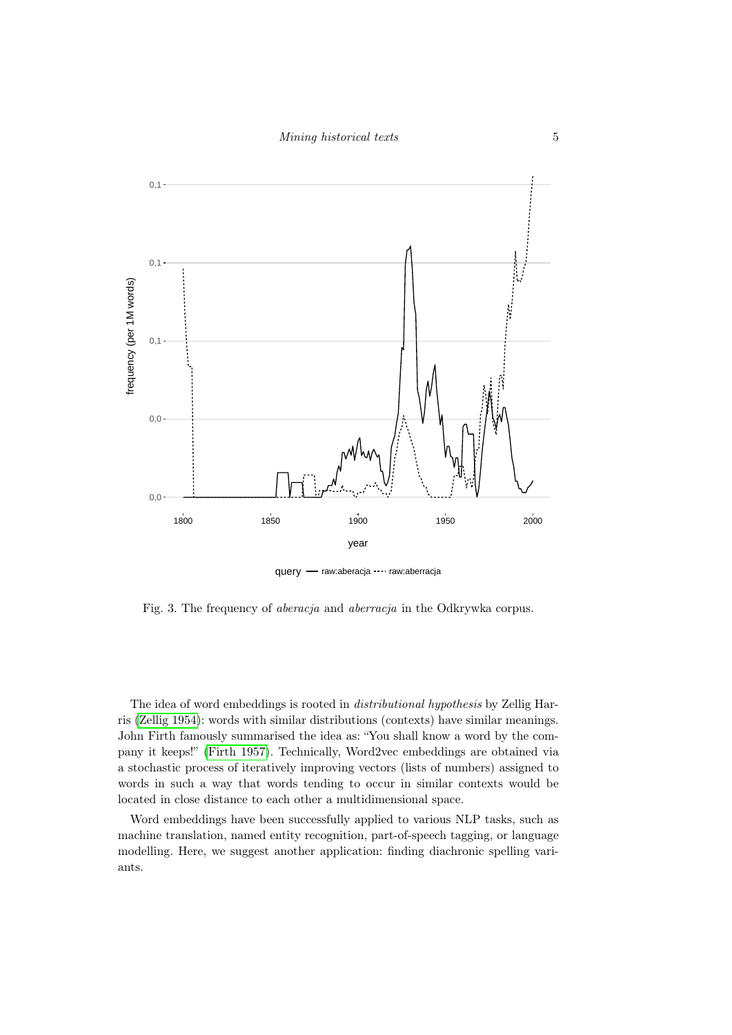

query - raw:aberacja ···· raw:aberracja

<span id="page-5-0"></span>Fig. 3. The frequency of aberacja and aberracja in the Odkrywka corpus.

The idea of word embeddings is rooted in distributional hypothesis by Zellig Harris [\(Zellig 1954\)](#page-19-0): words with similar distributions (contexts) have similar meanings. John Firth famously summarised the idea as: "You shall know a word by the company it keeps!" [\(Firth 1957\)](#page-18-5). Technically, Word2vec embeddings are obtained via a stochastic process of iteratively improving vectors (lists of numbers) assigned to words in such a way that words tending to occur in similar contexts would be located in close distance to each other a multidimensional space.

Word embeddings have been successfully applied to various NLP tasks, such as machine translation, named entity recognition, part-of-speech tagging, or language modelling. Here, we suggest another application: finding diachronic spelling variants.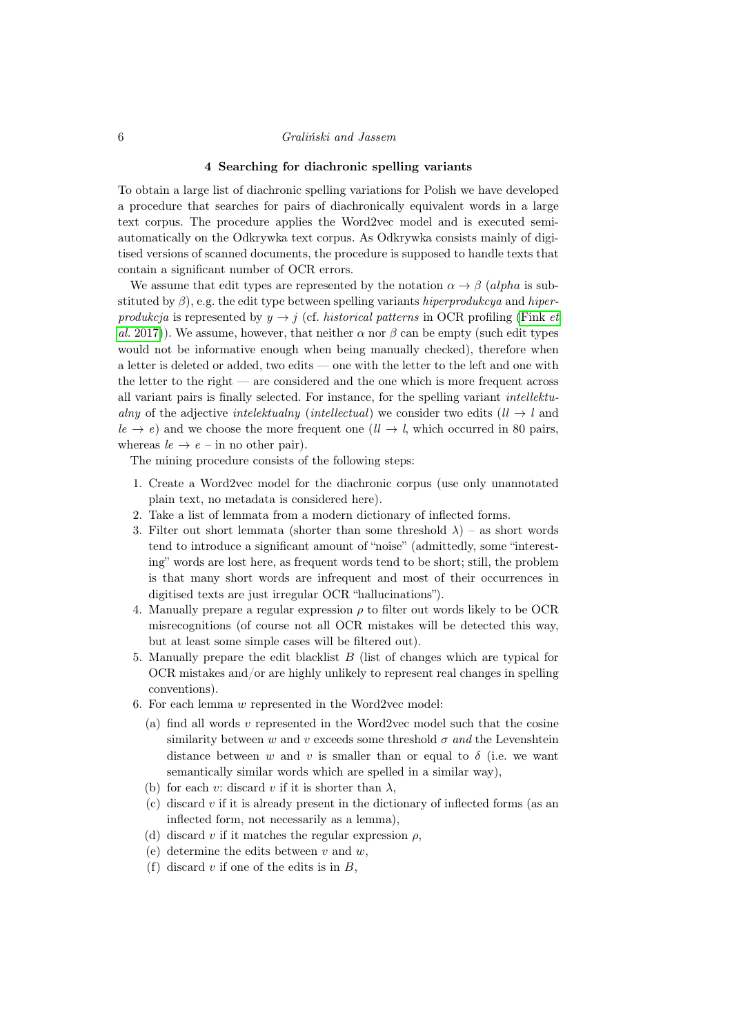#### 4 Searching for diachronic spelling variants

To obtain a large list of diachronic spelling variations for Polish we have developed a procedure that searches for pairs of diachronically equivalent words in a large text corpus. The procedure applies the Word2vec model and is executed semiautomatically on the Odkrywka text corpus. As Odkrywka consists mainly of digitised versions of scanned documents, the procedure is supposed to handle texts that contain a significant number of OCR errors.

We assume that edit types are represented by the notation  $\alpha \rightarrow \beta$  (alpha is substituted by  $\beta$ ), e.g. the edit type between spelling variants hiperprodukcya and hiperprodukcja is represented by  $y \rightarrow j$  (cf. historical patterns in OCR profiling [\(Fink](#page-18-4) et al. [2017\)](#page-18-4). We assume, however, that neither  $\alpha$  nor  $\beta$  can be empty (such edit types would not be informative enough when being manually checked), therefore when a letter is deleted or added, two edits — one with the letter to the left and one with the letter to the right — are considered and the one which is more frequent across all variant pairs is finally selected. For instance, for the spelling variant intellektualny of the adjective intelektualny (intellectual) we consider two edits  $(1 \rightarrow l$  and  $le \rightarrow e$ ) and we choose the more frequent one  $(11 \rightarrow 1$ , which occurred in 80 pairs, whereas  $le \rightarrow e$  – in no other pair).

The mining procedure consists of the following steps:

- 1. Create a Word2vec model for the diachronic corpus (use only unannotated plain text, no metadata is considered here).
- 2. Take a list of lemmata from a modern dictionary of inflected forms.
- 3. Filter out short lemmata (shorter than some threshold  $\lambda$ ) as short words tend to introduce a significant amount of "noise" (admittedly, some "interesting" words are lost here, as frequent words tend to be short; still, the problem is that many short words are infrequent and most of their occurrences in digitised texts are just irregular OCR "hallucinations").
- 4. Manually prepare a regular expression  $\rho$  to filter out words likely to be OCR misrecognitions (of course not all OCR mistakes will be detected this way, but at least some simple cases will be filtered out).
- 5. Manually prepare the edit blacklist B (list of changes which are typical for OCR mistakes and/or are highly unlikely to represent real changes in spelling conventions).
- 6. For each lemma w represented in the Word2vec model:
	- (a) find all words  $v$  represented in the Word2vec model such that the cosine similarity between w and v exceeds some threshold  $\sigma$  and the Levenshtein distance between w and v is smaller than or equal to  $\delta$  (i.e. we want semantically similar words which are spelled in a similar way),
	- (b) for each v: discard v if it is shorter than  $\lambda$ ,
	- (c) discard v if it is already present in the dictionary of inflected forms (as an inflected form, not necessarily as a lemma),
	- (d) discard v if it matches the regular expression  $\rho$ ,
	- (e) determine the edits between  $v$  and  $w$ ,
	- (f) discard  $v$  if one of the edits is in  $B$ ,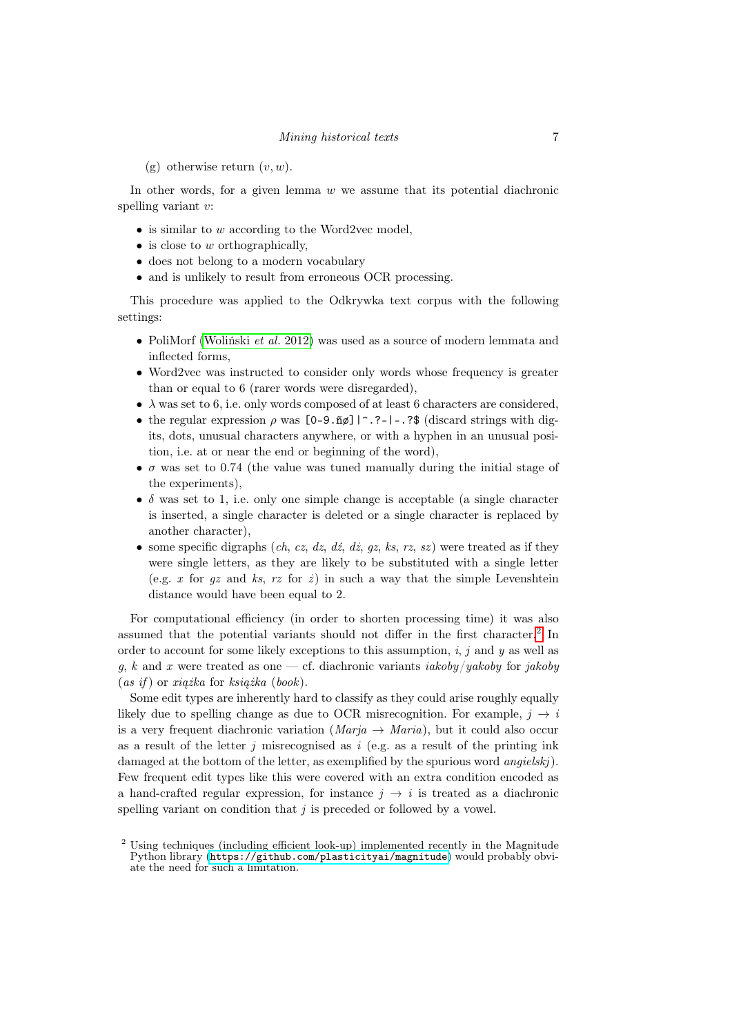(g) otherwise return  $(v, w)$ .

In other words, for a given lemma  $w$  we assume that its potential diachronic spelling variant v:

- is similar to w according to the Word2vec model,
- $\bullet$  is close to w orthographically,
- does not belong to a modern vocabulary
- and is unlikely to result from erroneous OCR processing.

This procedure was applied to the Odkrywka text corpus with the following settings:

- PoliMorf [\(Woliński](#page-18-6) *et al.* 2012) was used as a source of modern lemmata and inflected forms,
- Word2vec was instructed to consider only words whose frequency is greater than or equal to 6 (rarer words were disregarded),
- $\lambda$  was set to 6, i.e. only words composed of at least 6 characters are considered,
- the regular expression  $\rho$  was  $[0-9.\tilde{nd}]$  | ^.?-|-.?\$ (discard strings with digits, dots, unusual characters anywhere, or with a hyphen in an unusual position, i.e. at or near the end or beginning of the word),
- $\bullet$   $\sigma$  was set to 0.74 (the value was tuned manually during the initial stage of the experiments),
- $\delta$  was set to 1, i.e. only one simple change is acceptable (a single character is inserted, a single character is deleted or a single character is replaced by another character),
- some specific digraphs (ch, cz, dz, dz, dz, gz, ks, rz, sz) were treated as if they were single letters, as they are likely to be substituted with a single letter (e.g. x for qz and ks, rz for  $\dot{z}$ ) in such a way that the simple Levenshtein distance would have been equal to 2.

For computational efficiency (in order to shorten processing time) it was also assumed that the potential variants should not differ in the first character.[2](#page-7-0) In order to account for some likely exceptions to this assumption,  $i, j$  and y as well as g, k and x were treated as one — cf. diachronic variants iakoby/yakoby for jakoby  $(as if)$  or xiażka for książka (book).

Some edit types are inherently hard to classify as they could arise roughly equally likely due to spelling change as due to OCR misrecognition. For example,  $j \rightarrow i$ is a very frequent diachronic variation  $(Marja \rightarrow Maria)$ , but it could also occur as a result of the letter  $j$  misrecognised as  $i$  (e.g. as a result of the printing ink damaged at the bottom of the letter, as exemplified by the spurious word *angielskj*). Few frequent edit types like this were covered with an extra condition encoded as a hand-crafted regular expression, for instance  $j \rightarrow i$  is treated as a diachronic spelling variant on condition that  $j$  is preceded or followed by a vowel.

<span id="page-7-0"></span><sup>2</sup> Using techniques (including efficient look-up) implemented recently in the Magnitude Python library (<https://github.com/plasticityai/magnitude>) would probably obviate the need for such a limitation.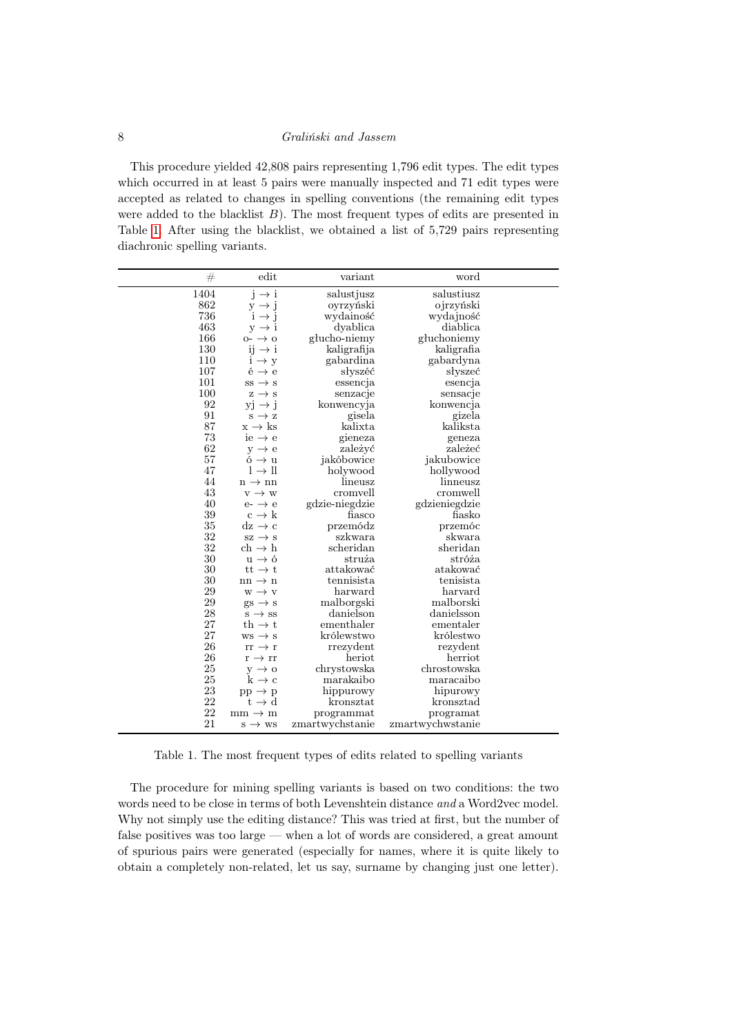This procedure yielded 42,808 pairs representing 1,796 edit types. The edit types which occurred in at least 5 pairs were manually inspected and 71 edit types were accepted as related to changes in spelling conventions (the remaining edit types were added to the blacklist  $B$ ). The most frequent types of edits are presented in Table [1.](#page-8-0) After using the blacklist, we obtained a list of 5,729 pairs representing diachronic spelling variants.

| #    | edit                      | variant         | word             |  |
|------|---------------------------|-----------------|------------------|--|
| 1404 | $j \rightarrow i$         | salustjusz      | salustiusz       |  |
| 862  | $y \rightarrow j$         | oyrzyński       | ojrzyński        |  |
| 736  | $i \rightarrow j$         | wydainość       | wydajność        |  |
| 463  | $y \rightarrow i$         | dyablica        | diablica         |  |
| 166  | $o - \rightarrow o$       | głucho-niemy    | głuchoniemy      |  |
| 130  | $ii \rightarrow i$        | kaligrafija     | kaligrafia       |  |
| 110  | $i \rightarrow y$         | gabardina       | gabardyna        |  |
| 107  | $\acute{e} \rightarrow e$ | słyszéć         | słyszeć          |  |
| 101  | $ss \rightarrow s$        | essencja        | esencja          |  |
| 100  | $z \rightarrow s$         | senzacje        | sensacje         |  |
| 92   | $yi \rightarrow j$        | konwencyja      | konwencja        |  |
| 91   | $s \rightarrow z$         | gisela          | gizela           |  |
| 87   | $x \rightarrow ks$        | kalixta         | kaliksta         |  |
| 73   | $ie \rightarrow e$        | gieneza         | geneza           |  |
| 62   | $y \rightarrow e$         | zależyć         | zależeć          |  |
| 57   | $6 \rightarrow u$         | jakóbowice      | jakubowice       |  |
| 47   | $l \rightarrow ll$        | holywood        | hollywood        |  |
| 44   | $n \rightarrow nn$        | lineusz         | linneusz         |  |
| 43   | $v \rightarrow w$         | cromvell        | cromwell         |  |
| 40   | $e - \rightarrow e$       | gdzie-niegdzie  | gdzieniegdzie    |  |
| 39   | $c \rightarrow k$         | fiasco          | fiasko           |  |
| 35   | $dz \rightarrow c$        | przemódz        | przemóc          |  |
| 32   | $sz \rightarrow s$        | szkwara         | skwara           |  |
| 32   | $ch \rightarrow h$        | scheridan       | sheridan         |  |
| 30   | $u \rightarrow 6$         | struża          | stróża           |  |
| 30   | $tt \rightarrow t$        | attakować       | atakować         |  |
| 30   | $nn \rightarrow n$        | tennisista      | tenisista        |  |
| 29   | $w \rightarrow v$         | harward         | harvard          |  |
| 29   | $gs \rightarrow s$        | malborgski      | malborski        |  |
| 28   | $s \rightarrow ss$        | danielson       | danielsson       |  |
| 27   | th $\rightarrow$ t        | ementhaler      | ementaler        |  |
| 27   | $ws \rightarrow s$        | królewstwo      | królestwo        |  |
| 26   | $rr \rightarrow r$        | rrezydent       | rezydent         |  |
| 26   | $r \rightarrow rr$        | heriot          | herriot          |  |
| 25   | $y \rightarrow o$         | chrystowska     | chrostowska      |  |
| 25   | $k \rightarrow c$         | marakaibo       | maracaibo        |  |
| 23   | $pp \rightarrow p$        | hippurowy       | hipurowy         |  |
| 22   | $t \to d$                 | $k$ ronsztat    | kronsztad        |  |
| 22   | $mm \rightarrow m$        | programmat      | programat        |  |
| 21   | $s \rightarrow ws$        | zmartwychstanie | zmartwychwstanie |  |

<span id="page-8-0"></span>Table 1. The most frequent types of edits related to spelling variants

The procedure for mining spelling variants is based on two conditions: the two words need to be close in terms of both Levenshtein distance and a Word2vec model. Why not simply use the editing distance? This was tried at first, but the number of false positives was too large — when a lot of words are considered, a great amount of spurious pairs were generated (especially for names, where it is quite likely to obtain a completely non-related, let us say, surname by changing just one letter).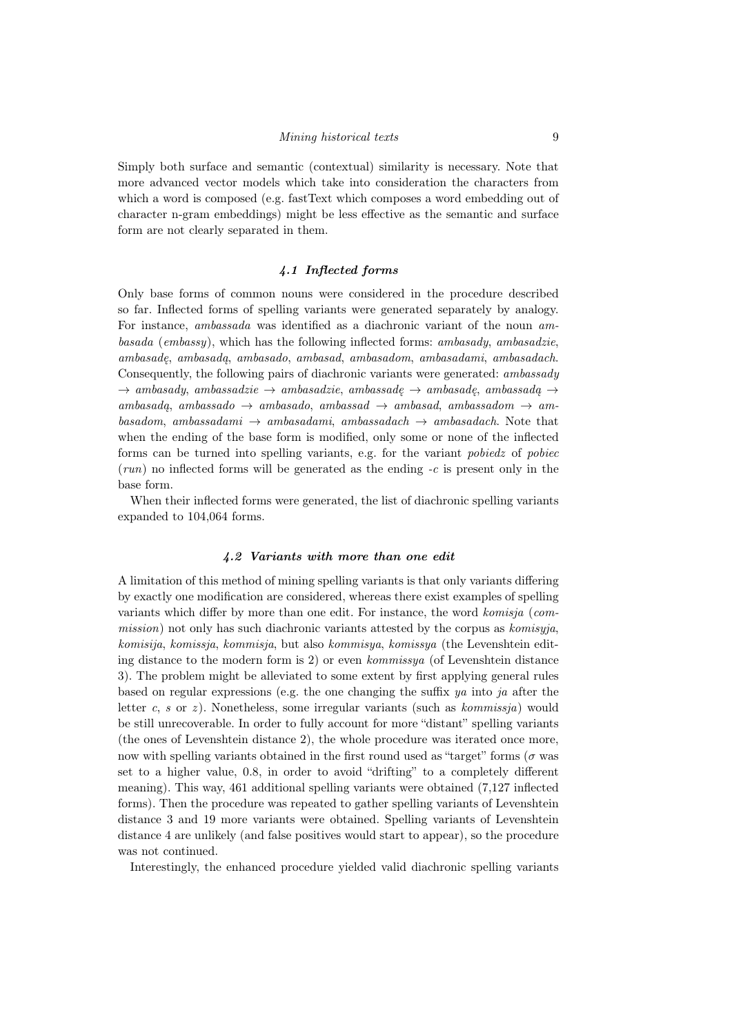Simply both surface and semantic (contextual) similarity is necessary. Note that more advanced vector models which take into consideration the characters from which a word is composed (e.g. fastText which composes a word embedding out of character n-gram embeddings) might be less effective as the semantic and surface form are not clearly separated in them.

# 4.1 Inflected forms

<span id="page-9-0"></span>Only base forms of common nouns were considered in the procedure described so far. Inflected forms of spelling variants were generated separately by analogy. For instance, ambassada was identified as a diachronic variant of the noun ambasada (embassy), which has the following inflected forms: ambasady, ambasadzie, ambasadę, ambasadą, ambasado, ambasad, ambasadom, ambasadami, ambasadach. Consequently, the following pairs of diachronic variants were generated: ambassady  $\rightarrow$  ambasady, ambassadzie  $\rightarrow$  ambasadzie, ambassadę  $\rightarrow$  ambassadę, ambassadą  $\rightarrow$  $ambasadq$ , ambassado  $\rightarrow$  ambasado, ambassad  $\rightarrow$  ambasad, ambassadom  $\rightarrow$  ambasadom, ambassadami  $\rightarrow$  ambasadami, ambassadach  $\rightarrow$  ambasadach. Note that when the ending of the base form is modified, only some or none of the inflected forms can be turned into spelling variants, e.g. for the variant pobiedz of pobiec  $(run)$  no inflected forms will be generated as the ending  $-c$  is present only in the base form.

When their inflected forms were generated, the list of diachronic spelling variants expanded to 104,064 forms.

# 4.2 Variants with more than one edit

A limitation of this method of mining spelling variants is that only variants differing by exactly one modification are considered, whereas there exist examples of spelling variants which differ by more than one edit. For instance, the word komisja (commission) not only has such diachronic variants attested by the corpus as komisyja, komisija, komissja, kommisja, but also kommisya, komissya (the Levenshtein editing distance to the modern form is 2) or even kommissya (of Levenshtein distance 3). The problem might be alleviated to some extent by first applying general rules based on regular expressions (e.g. the one changing the suffix  $ya$  into ja after the letter c, s or z). Nonetheless, some irregular variants (such as  $kommissja$ ) would be still unrecoverable. In order to fully account for more "distant" spelling variants (the ones of Levenshtein distance 2), the whole procedure was iterated once more, now with spelling variants obtained in the first round used as "target" forms ( $\sigma$  was set to a higher value, 0.8, in order to avoid "drifting" to a completely different meaning). This way, 461 additional spelling variants were obtained (7,127 inflected forms). Then the procedure was repeated to gather spelling variants of Levenshtein distance 3 and 19 more variants were obtained. Spelling variants of Levenshtein distance 4 are unlikely (and false positives would start to appear), so the procedure was not continued.

Interestingly, the enhanced procedure yielded valid diachronic spelling variants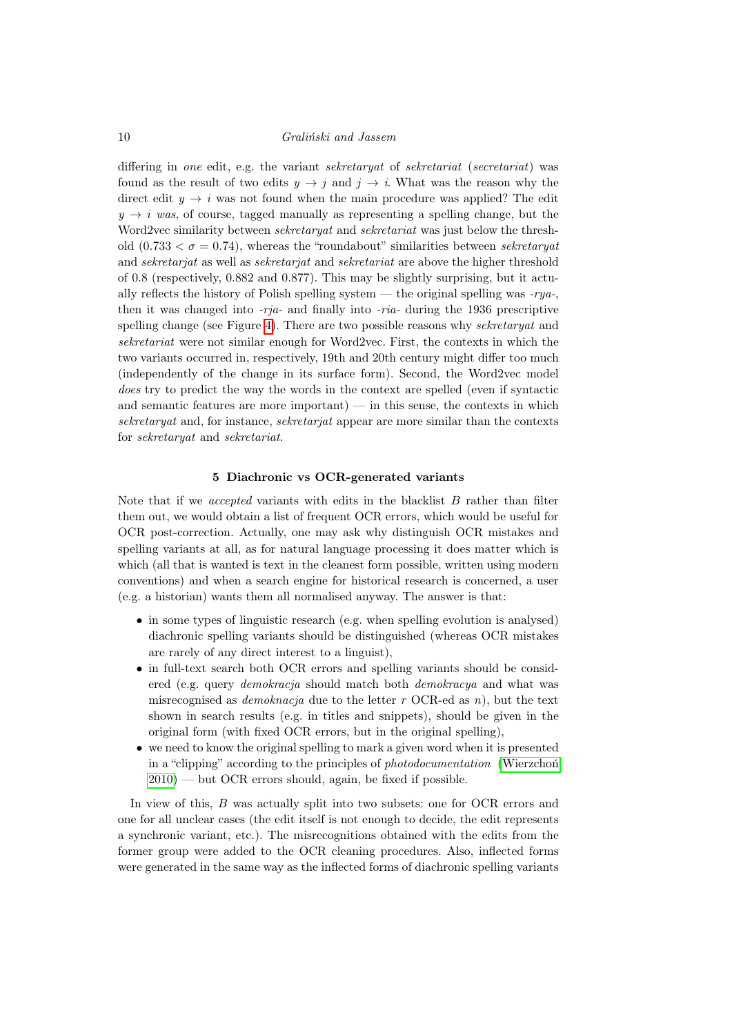differing in one edit, e.g. the variant sekretaryat of sekretariat (secretariat) was found as the result of two edits  $y \to i$  and  $j \to i$ . What was the reason why the direct edit  $y \rightarrow i$  was not found when the main procedure was applied? The edit  $y \rightarrow i$  was, of course, tagged manually as representing a spelling change, but the Word2vec similarity between *sekretaryat* and *sekretariat* was just below the threshold  $(0.733 < \sigma = 0.74)$ , whereas the "roundabout" similarities between sekretaryat and sekretarjat as well as sekretarjat and sekretariat are above the higher threshold of 0.8 (respectively, 0.882 and 0.877). This may be slightly surprising, but it actually reflects the history of Polish spelling system — the original spelling was  $-rya$ . then it was changed into  $-rja$ - and finally into  $-ra$ - during the 1936 prescriptive spelling change (see Figure [4\)](#page-11-0). There are two possible reasons why *sekretaryat* and sekretariat were not similar enough for Word2vec. First, the contexts in which the two variants occurred in, respectively, 19th and 20th century might differ too much (independently of the change in its surface form). Second, the Word2vec model does try to predict the way the words in the context are spelled (even if syntactic and semantic features are more important) — in this sense, the contexts in which sekretaryat and, for instance, sekretarjat appear are more similar than the contexts for sekretaryat and sekretariat.

#### 5 Diachronic vs OCR-generated variants

<span id="page-10-0"></span>Note that if we *accepted* variants with edits in the blacklist  $B$  rather than filter them out, we would obtain a list of frequent OCR errors, which would be useful for OCR post-correction. Actually, one may ask why distinguish OCR mistakes and spelling variants at all, as for natural language processing it does matter which is which (all that is wanted is text in the cleanest form possible, written using modern conventions) and when a search engine for historical research is concerned, a user (e.g. a historian) wants them all normalised anyway. The answer is that:

- in some types of linguistic research (e.g. when spelling evolution is analysed) diachronic spelling variants should be distinguished (whereas OCR mistakes are rarely of any direct interest to a linguist),
- in full-text search both OCR errors and spelling variants should be considered (e.g. query demokracja should match both demokracya and what was misrecognised as *demoknacja* due to the letter r OCR-ed as n), but the text shown in search results (e.g. in titles and snippets), should be given in the original form (with fixed OCR errors, but in the original spelling),
- we need to know the original spelling to mark a given word when it is presented in a "clipping" according to the principles of photodocumentation [\(Wierzchoń](#page-18-7)  $2010$  – but OCR errors should, again, be fixed if possible.

In view of this, B was actually split into two subsets: one for OCR errors and one for all unclear cases (the edit itself is not enough to decide, the edit represents a synchronic variant, etc.). The misrecognitions obtained with the edits from the former group were added to the OCR cleaning procedures. Also, inflected forms were generated in the same way as the inflected forms of diachronic spelling variants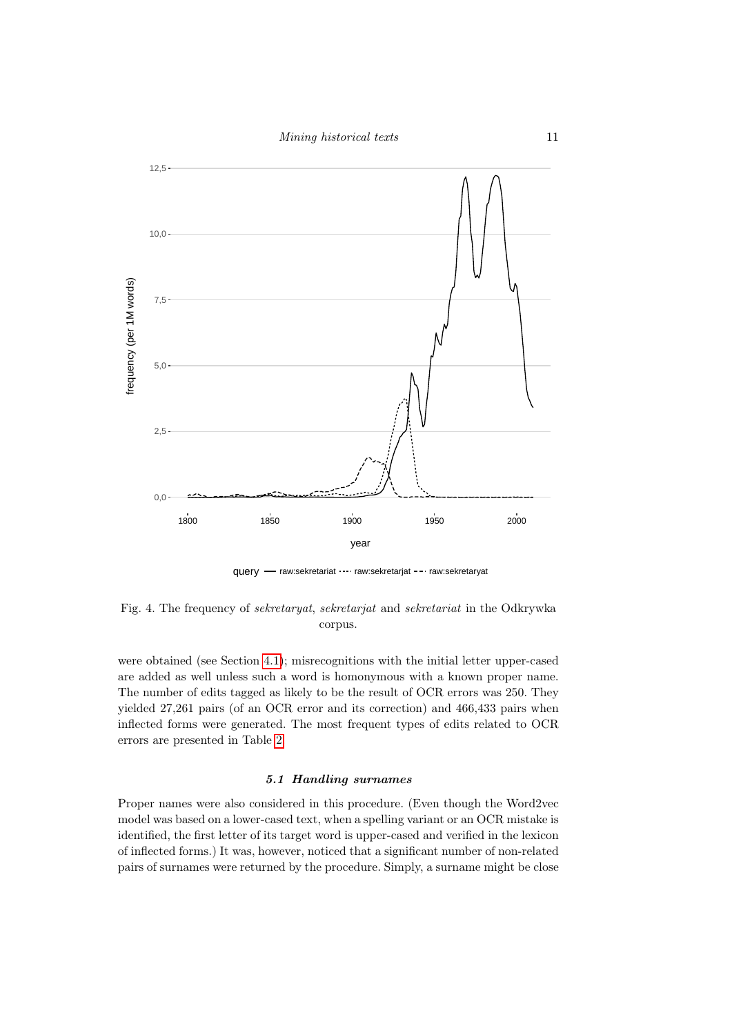

query - raw:sekretariat ···· raw:sekretarjat --· raw:sekretaryat

<span id="page-11-0"></span>Fig. 4. The frequency of sekretaryat, sekretarjat and sekretariat in the Odkrywka corpus.

were obtained (see Section [4.1\)](#page-9-0); misrecognitions with the initial letter upper-cased are added as well unless such a word is homonymous with a known proper name. The number of edits tagged as likely to be the result of OCR errors was 250. They yielded 27,261 pairs (of an OCR error and its correction) and 466,433 pairs when inflected forms were generated. The most frequent types of edits related to OCR errors are presented in Table [2.](#page-12-0)

# 5.1 Handling surnames

Proper names were also considered in this procedure. (Even though the Word2vec model was based on a lower-cased text, when a spelling variant or an OCR mistake is identified, the first letter of its target word is upper-cased and verified in the lexicon of inflected forms.) It was, however, noticed that a significant number of non-related pairs of surnames were returned by the procedure. Simply, a surname might be close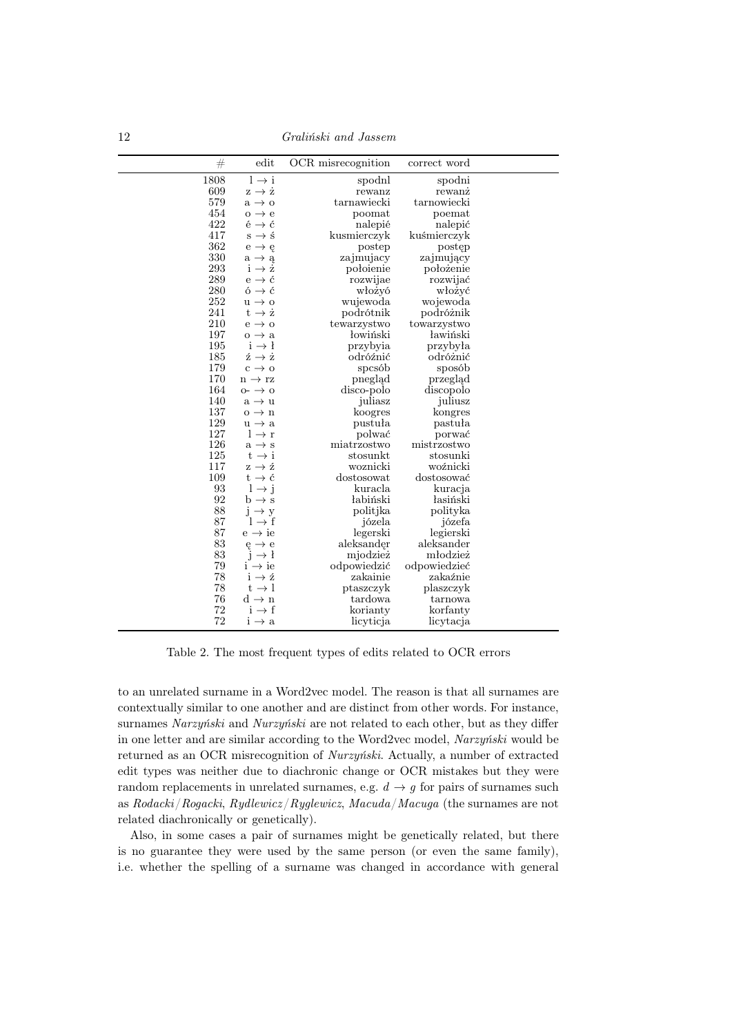12 Graliński and Jassem

| $\#$     | edit                                            | OCR misrecognition | correct word |  |
|----------|-------------------------------------------------|--------------------|--------------|--|
| 1808     | $l \rightarrow i$                               | spodnl             | spodni       |  |
| 609      | $z \rightarrow \dot{z}$                         | rewanz             | rewanz       |  |
| 579      | $a \rightarrow o$                               | tarnawiecki        | tarnowiecki  |  |
| 454      | $o \rightarrow e$                               | poomat             | poemat       |  |
| 422      | $\acute{\text{e}} \rightarrow \acute{\text{c}}$ | nalepié            | nalepić      |  |
| 417      | $s \rightarrow \pm$                             | kusmierczyk        | kuśmierczyk  |  |
| 362      | $e \rightarrow e$                               | postep             | postęp       |  |
| 330      | $a \rightarrow a$                               | zajmujacy          | zajmujący    |  |
| $\,293$  | $i \rightarrow \dot{z}$                         | połoienie          | położenie    |  |
| 289      | $e \rightarrow \acute{c}$                       | rozwijae           | rozwijać     |  |
| 280      | $6 \rightarrow 6$                               | włożyó             | włożyć       |  |
| 252      | $u \rightarrow o$                               | wujewoda           | wojewoda     |  |
| 241      | $t \rightarrow \dot{z}$                         | podrótnik          | podróżnik    |  |
| 210      | $e \rightarrow o$                               | tewarzystwo        | towarzystwo  |  |
| 197      | $o \rightarrow a$                               | łowiński           | ławiński     |  |
| 195      | $i \rightarrow l$                               | przybyia           | przybyła     |  |
| 185      | $\dot{z} \rightarrow \dot{z}$                   | odróźnić           | odróżnić     |  |
| 179      | $c \rightarrow o$                               | spcsób             | sposób       |  |
| 170      | $n \rightarrow rz$                              | pneglad            | przegląd     |  |
| 164      | $0 - \rightarrow 0$                             | disco-polo         | discopolo    |  |
| 140      | $a \rightarrow u$                               | juliasz            | juliusz      |  |
| 137      | $o \rightarrow n$                               | koogres            | kongres      |  |
| 129      | $u \rightarrow a$                               | pustuła            | pastuła      |  |
| 127      | $l \rightarrow r$                               | polwać             | porwać       |  |
| 126      | $a \rightarrow s$                               | miatrzostwo        | mistrzostwo  |  |
| 125      | $t \rightarrow i$                               | stosunkt           | stosunki     |  |
| 117      | $z \rightarrow \acute{z}$                       | woznicki           | woźnicki     |  |
| 109      | $t \rightarrow \acute{c}$                       | dostosowat         | dostosować   |  |
| 93       | $l \rightarrow j$                               | kuracla            | kuracja      |  |
| 92       | $\rm b \rightarrow s$                           | łabiński           | łasiński     |  |
| 88       | $j \rightarrow y$                               | politjka           | polityka     |  |
| 87       | $l \rightarrow f$                               | józela             | józefa       |  |
| 87       | $e \rightarrow ie$                              | legerski           | legierski    |  |
| $\bf 83$ | $e \rightarrow e$                               | aleksander         | aleksander   |  |
| 83       | $i \rightarrow l$                               | mjodzież           | młodzież     |  |
| 79       | $i \rightarrow ie$                              | odpowiedzić        | odpowiedzieć |  |
| 78       | $i \rightarrow \acute{z}$                       | zakainie           | zakaźnie     |  |
| 78       | $t \rightarrow l$                               | ptaszczyk          | plaszczyk    |  |
| 76       | $d \rightarrow n$                               | tardowa            | tarnowa      |  |
| 72       | $i \rightarrow f$                               | korianty           | korfanty     |  |
| 72       | $i \rightarrow a$                               | licyticja          | licytacja    |  |

<span id="page-12-0"></span>Table 2. The most frequent types of edits related to OCR errors

to an unrelated surname in a Word2vec model. The reason is that all surnames are contextually similar to one another and are distinct from other words. For instance, surnames Narzyński and Nurzyński are not related to each other, but as they differ in one letter and are similar according to the Word2vec model, Narzyński would be returned as an OCR misrecognition of Nurzyński. Actually, a number of extracted edit types was neither due to diachronic change or OCR mistakes but they were random replacements in unrelated surnames, e.g.  $d \rightarrow g$  for pairs of surnames such as  $Rodacki/Rogacki, Rydlewicz/Ryqlewicz, Macuda/Macuga$  (the surnames are not related diachronically or genetically).

Also, in some cases a pair of surnames might be genetically related, but there is no guarantee they were used by the same person (or even the same family), i.e. whether the spelling of a surname was changed in accordance with general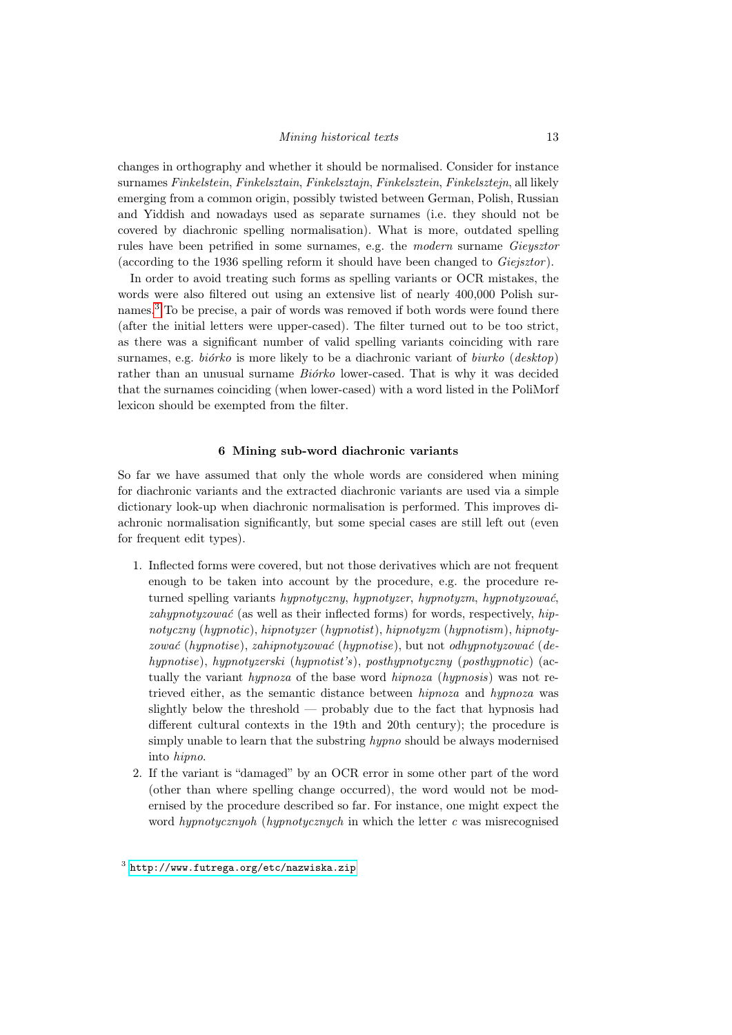changes in orthography and whether it should be normalised. Consider for instance surnames Finkelstein, Finkelsztain, Finkelsztajn, Finkelsztein, Finkelsztejn, all likely emerging from a common origin, possibly twisted between German, Polish, Russian and Yiddish and nowadays used as separate surnames (i.e. they should not be covered by diachronic spelling normalisation). What is more, outdated spelling rules have been petrified in some surnames, e.g. the modern surname Gieysztor (according to the 1936 spelling reform it should have been changed to Giejsztor ).

In order to avoid treating such forms as spelling variants or OCR mistakes, the words were also filtered out using an extensive list of nearly 400,000 Polish surnames.[3](#page-13-0) To be precise, a pair of words was removed if both words were found there (after the initial letters were upper-cased). The filter turned out to be too strict, as there was a significant number of valid spelling variants coinciding with rare surnames, e.g. *biórko* is more likely to be a diachronic variant of *biurko* (*desktop*) rather than an unusual surname Biórko lower-cased. That is why it was decided that the surnames coinciding (when lower-cased) with a word listed in the PoliMorf lexicon should be exempted from the filter.

#### 6 Mining sub-word diachronic variants

So far we have assumed that only the whole words are considered when mining for diachronic variants and the extracted diachronic variants are used via a simple dictionary look-up when diachronic normalisation is performed. This improves diachronic normalisation significantly, but some special cases are still left out (even for frequent edit types).

- 1. Inflected forms were covered, but not those derivatives which are not frequent enough to be taken into account by the procedure, e.g. the procedure returned spelling variants hypnotyczny, hypnotyzer, hypnotyzm, hypnotyzować, zahypnotyzować (as well as their inflected forms) for words, respectively, hipnotyczny (hypnotic), hipnotyzer (hypnotist), hipnotyzm (hypnotism), hipnotyzować (hypnotise), zahipnotyzować (hypnotise), but not odhypnotyzować (dehypnotise), hypnotyzerski (hypnotist's), posthypnotyczny (posthypnotic) (actually the variant hypnoza of the base word hipnoza (hypnosis) was not retrieved either, as the semantic distance between hipnoza and hypnoza was slightly below the threshold — probably due to the fact that hypnosis had different cultural contexts in the 19th and 20th century); the procedure is simply unable to learn that the substring hypno should be always modernised into hipno.
- <span id="page-13-0"></span>2. If the variant is "damaged" by an OCR error in some other part of the word (other than where spelling change occurred), the word would not be modernised by the procedure described so far. For instance, one might expect the word hypnotycznyoh (hypnotycznych in which the letter  $c$  was misrecognised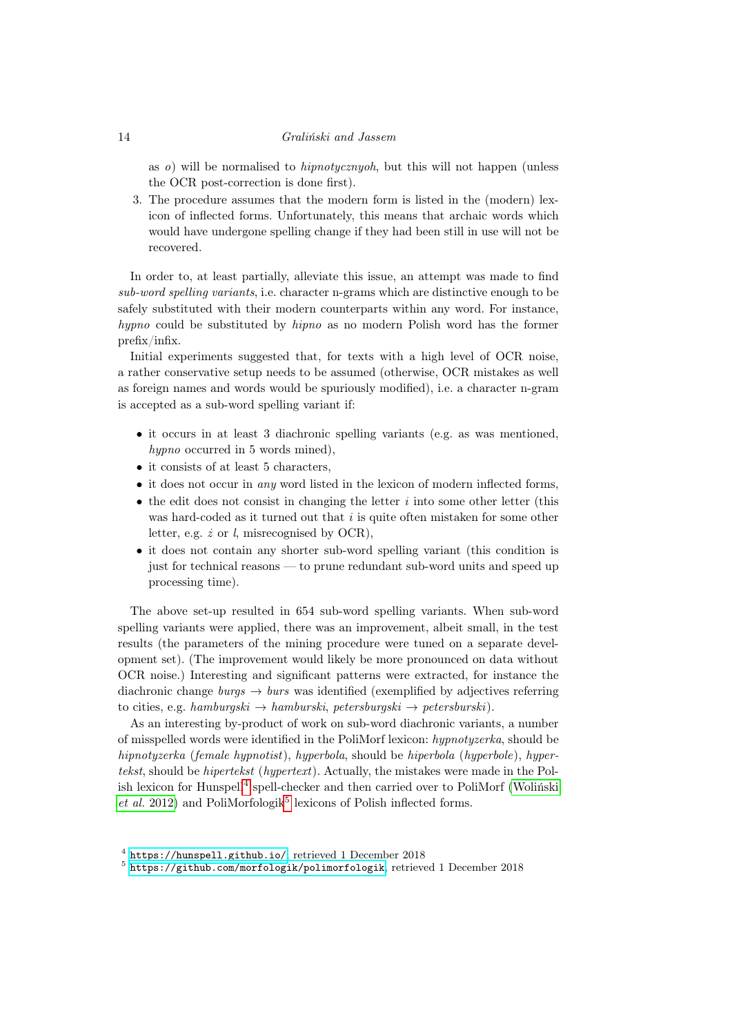as o) will be normalised to hipnotycznyoh, but this will not happen (unless the OCR post-correction is done first).

3. The procedure assumes that the modern form is listed in the (modern) lexicon of inflected forms. Unfortunately, this means that archaic words which would have undergone spelling change if they had been still in use will not be recovered.

In order to, at least partially, alleviate this issue, an attempt was made to find sub-word spelling variants, i.e. character n-grams which are distinctive enough to be safely substituted with their modern counterparts within any word. For instance, hypno could be substituted by hipno as no modern Polish word has the former prefix/infix.

Initial experiments suggested that, for texts with a high level of OCR noise, a rather conservative setup needs to be assumed (otherwise, OCR mistakes as well as foreign names and words would be spuriously modified), i.e. a character n-gram is accepted as a sub-word spelling variant if:

- it occurs in at least 3 diachronic spelling variants (e.g. as was mentioned, hypno occurred in 5 words mined),
- it consists of at least 5 characters,
- it does not occur in *any* word listed in the lexicon of modern inflected forms,
- $\bullet$  the edit does not consist in changing the letter *i* into some other letter (this was hard-coded as it turned out that  $i$  is quite often mistaken for some other letter, e.g.  $\dot{z}$  or  $\dot{l}$ , misrecognised by OCR),
- it does not contain any shorter sub-word spelling variant (this condition is just for technical reasons — to prune redundant sub-word units and speed up processing time).

The above set-up resulted in 654 sub-word spelling variants. When sub-word spelling variants were applied, there was an improvement, albeit small, in the test results (the parameters of the mining procedure were tuned on a separate development set). (The improvement would likely be more pronounced on data without OCR noise.) Interesting and significant patterns were extracted, for instance the diachronic change  $burgs \rightarrow burs$  was identified (exemplified by adjectives referring to cities, e.g. hamburgski  $\rightarrow$  hamburski, petersburgski  $\rightarrow$  petersburski).

As an interesting by-product of work on sub-word diachronic variants, a number of misspelled words were identified in the PoliMorf lexicon: hypnotyzerka, should be hipnotyzerka (female hypnotist), hyperbola, should be hiperbola (hyperbole), hypertekst, should be hipertekst (hypertext). Actually, the mistakes were made in the Pol-ish lexicon for Hunspell<sup>[4](#page-14-0)</sup> spell-checker and then carried over to PoliMorf [\(Woliński](#page-18-6)  $et$  al. 2012) and PoliMorfologik<sup>[5](#page-14-1)</sup> lexicons of Polish inflected forms.

<span id="page-14-0"></span><sup>4</sup> <https://hunspell.github.io/>, retrieved 1 December 2018

<span id="page-14-1"></span><sup>5</sup> <https://github.com/morfologik/polimorfologik>, retrieved 1 December 2018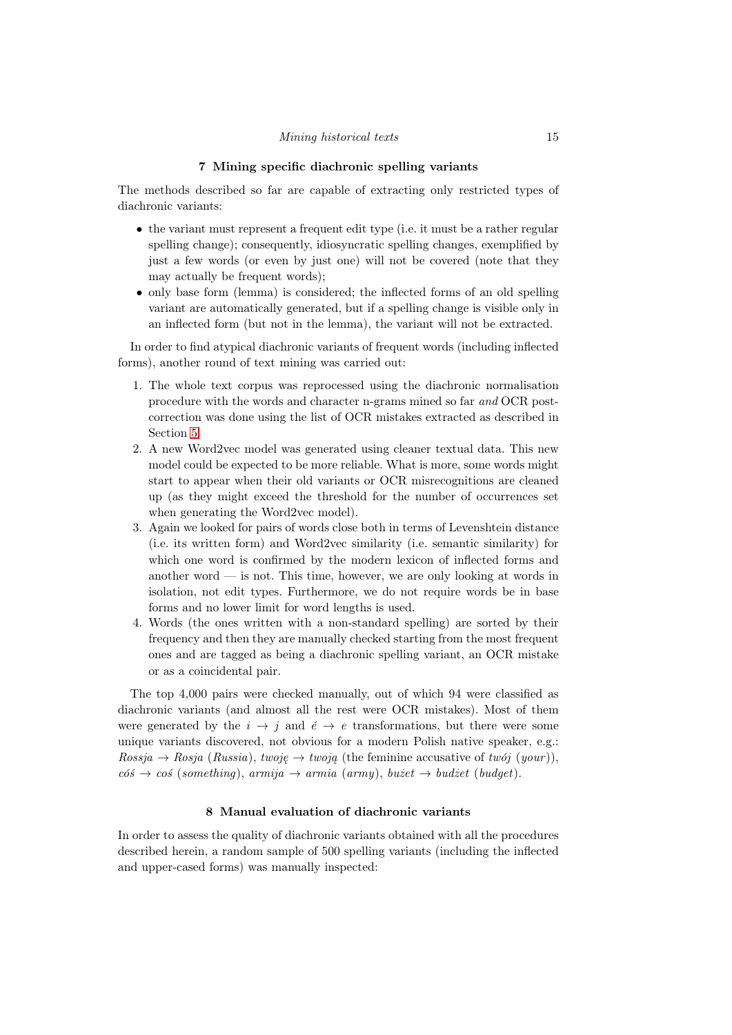#### 7 Mining specific diachronic spelling variants

The methods described so far are capable of extracting only restricted types of diachronic variants:

- the variant must represent a frequent edit type (i.e. it must be a rather regular spelling change); consequently, idiosyncratic spelling changes, exemplified by just a few words (or even by just one) will not be covered (note that they may actually be frequent words);
- only base form (lemma) is considered; the inflected forms of an old spelling variant are automatically generated, but if a spelling change is visible only in an inflected form (but not in the lemma), the variant will not be extracted.

In order to find atypical diachronic variants of frequent words (including inflected forms), another round of text mining was carried out:

- 1. The whole text corpus was reprocessed using the diachronic normalisation procedure with the words and character n-grams mined so far and OCR postcorrection was done using the list of OCR mistakes extracted as described in Section [5.](#page-10-0)
- 2. A new Word2vec model was generated using cleaner textual data. This new model could be expected to be more reliable. What is more, some words might start to appear when their old variants or OCR misrecognitions are cleaned up (as they might exceed the threshold for the number of occurrences set when generating the Word2vec model).
- 3. Again we looked for pairs of words close both in terms of Levenshtein distance (i.e. its written form) and Word2vec similarity (i.e. semantic similarity) for which one word is confirmed by the modern lexicon of inflected forms and another word  $\overline{\phantom{a}}$  is not. This time, however, we are only looking at words in isolation, not edit types. Furthermore, we do not require words be in base forms and no lower limit for word lengths is used.
- 4. Words (the ones written with a non-standard spelling) are sorted by their frequency and then they are manually checked starting from the most frequent ones and are tagged as being a diachronic spelling variant, an OCR mistake or as a coincidental pair.

The top 4,000 pairs were checked manually, out of which 94 were classified as diachronic variants (and almost all the rest were OCR mistakes). Most of them were generated by the  $i \to j$  and  $\acute{e} \to e$  transformations, but there were some unique variants discovered, not obvious for a modern Polish native speaker, e.g.:  $Rossja \rightarrow Rosja (Russia), twoje \rightarrow twoja$  (the feminine accusative of twój (your)),  $\cos \rightarrow \cos$  (something), armija  $\rightarrow$  armia (army), bużet  $\rightarrow$  budżet (budget).

#### 8 Manual evaluation of diachronic variants

In order to assess the quality of diachronic variants obtained with all the procedures described herein, a random sample of 500 spelling variants (including the inflected and upper-cased forms) was manually inspected: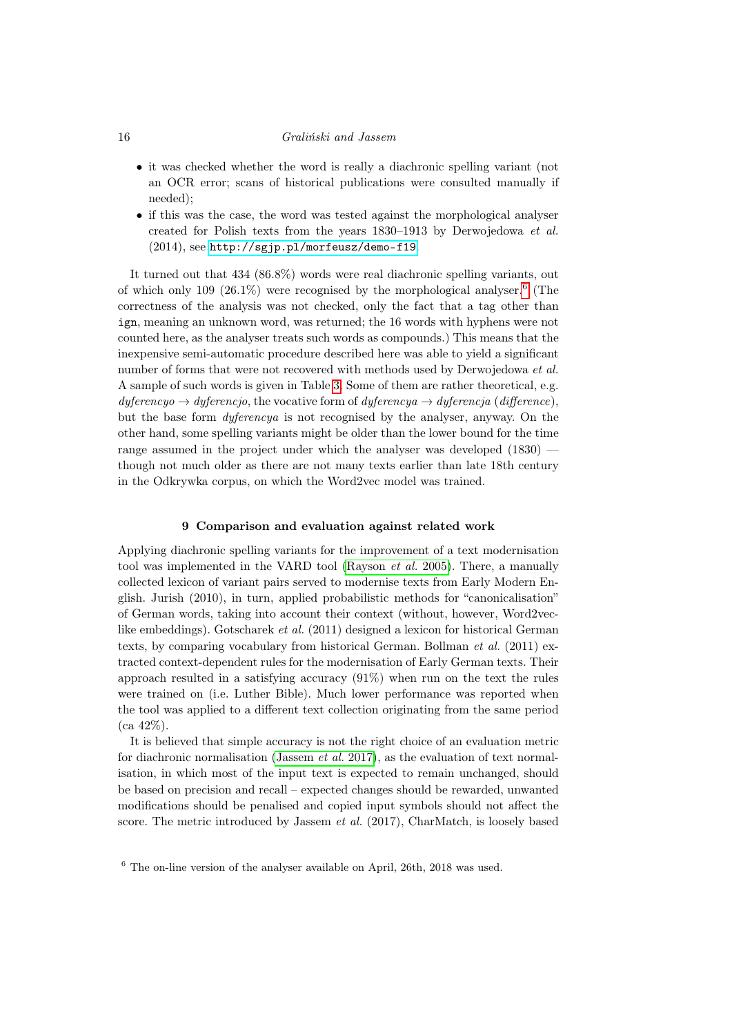- it was checked whether the word is really a diachronic spelling variant (not an OCR error; scans of historical publications were consulted manually if needed);
- if this was the case, the word was tested against the morphological analyser created for Polish texts from the years 1830–1913 by Derwojedowa et al. (2014), see <http://sgjp.pl/morfeusz/demo-f19>.

It turned out that 434 (86.8%) words were real diachronic spelling variants, out of which only 109  $(26.1\%)$  $(26.1\%)$  $(26.1\%)$  were recognised by the morphological analyser.<sup>6</sup> (The correctness of the analysis was not checked, only the fact that a tag other than ign, meaning an unknown word, was returned; the 16 words with hyphens were not counted here, as the analyser treats such words as compounds.) This means that the inexpensive semi-automatic procedure described here was able to yield a significant number of forms that were not recovered with methods used by Derwojedowa et al. A sample of such words is given in Table [3.](#page-17-0) Some of them are rather theoretical, e.g.  $dy$ ferencyo  $\rightarrow dy$ ferencjo, the vocative form of dyferencya  $\rightarrow dy$ ferencja (difference), but the base form dyferencya is not recognised by the analyser, anyway. On the other hand, some spelling variants might be older than the lower bound for the time range assumed in the project under which the analyser was developed (1830) though not much older as there are not many texts earlier than late 18th century in the Odkrywka corpus, on which the Word2vec model was trained.

#### 9 Comparison and evaluation against related work

Applying diachronic spelling variants for the improvement of a text modernisation tool was implemented in the VARD tool [\(Rayson](#page-18-8) et al. 2005). There, a manually collected lexicon of variant pairs served to modernise texts from Early Modern English. Jurish (2010), in turn, applied probabilistic methods for "canonicalisation" of German words, taking into account their context (without, however, Word2veclike embeddings). Gotscharek et al. (2011) designed a lexicon for historical German texts, by comparing vocabulary from historical German. Bollman et al. (2011) extracted context-dependent rules for the modernisation of Early German texts. Their approach resulted in a satisfying accuracy (91%) when run on the text the rules were trained on (i.e. Luther Bible). Much lower performance was reported when the tool was applied to a different text collection originating from the same period  $(ca 42\%).$ 

It is believed that simple accuracy is not the right choice of an evaluation metric for diachronic normalisation [\(Jassem](#page-18-9) et al. 2017), as the evaluation of text normalisation, in which most of the input text is expected to remain unchanged, should be based on precision and recall – expected changes should be rewarded, unwanted modifications should be penalised and copied input symbols should not affect the score. The metric introduced by Jassem et al. (2017), CharMatch, is loosely based

<span id="page-16-0"></span><sup>6</sup> The on-line version of the analyser available on April, 26th, 2018 was used.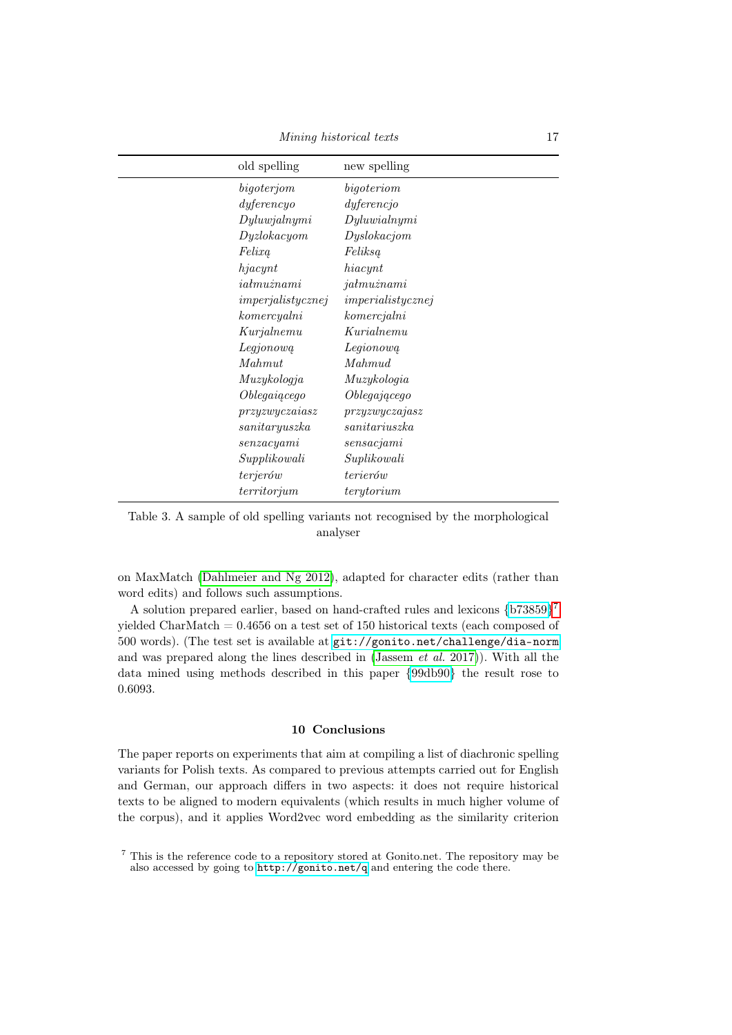| old spelling                        | new spelling      |
|-------------------------------------|-------------------|
| bigoterjom                          | bigoteriom        |
| $dy$ ferencyo                       | $dy$ ferencjo     |
| Dyluwjalnymi                        | Dyluwial nymi     |
| Dyzlokacyom                         | Dyslokacjom       |
| Felixa                              | Feliksa           |
| hjacynt                             | hiacynt           |
| i <sub>atmu</sub> z <sub>nami</sub> | jałmużnami        |
| imperjality can ej                  | imperialistycznej |
| komercyalni                         | komercjalni       |
| Kurjalnemu                          | Kurialnemu        |
| Legjonową                           | Legionowa         |
| Mahmut                              | Mahmud            |
| Muzykologja                         | Muzykologia       |
| Oblegaiącego                        | Oblegającego      |
| przyzwyczaiasz                      | przyzwyczajasz    |
| sanitaryus zka                      | sanitariuszka     |
| $s$ enzac $y$ ami                   | sensacjami        |
| Supplikowali                        | Suplikowali       |
| terjerów                            | terierów          |
| territorium                         | terytorium        |

<span id="page-17-0"></span>Table 3. A sample of old spelling variants not recognised by the morphological analyser

on MaxMatch [\(Dahlmeier and Ng 2012\)](#page-18-10), adapted for character edits (rather than word edits) and follows such assumptions.

A solution prepared earlier, based on hand-crafted rules and lexicons [{b73859}](http://gonito.net/q/b73859e9d68ee20d923a426c1c003b399e1cc5a0)[7](#page-17-1) yielded CharMatch = 0.4656 on a test set of 150 historical texts (each composed of 500 words). (The test set is available at <git://gonito.net/challenge/dia-norm> and was prepared along the lines described in [\(Jassem](#page-18-9) et al. 2017)). With all the data mined using methods described in this paper [{99db90}](http://gonito.net/q/99db90f5592ddda0f67a30bc00803e3203f2cc9b) the result rose to 0.6093.

#### 10 Conclusions

The paper reports on experiments that aim at compiling a list of diachronic spelling variants for Polish texts. As compared to previous attempts carried out for English and German, our approach differs in two aspects: it does not require historical texts to be aligned to modern equivalents (which results in much higher volume of the corpus), and it applies Word2vec word embedding as the similarity criterion

<span id="page-17-1"></span><sup>7</sup> This is the reference code to a repository stored at Gonito.net. The repository may be also accessed by going to <http://gonito.net/q> and entering the code there.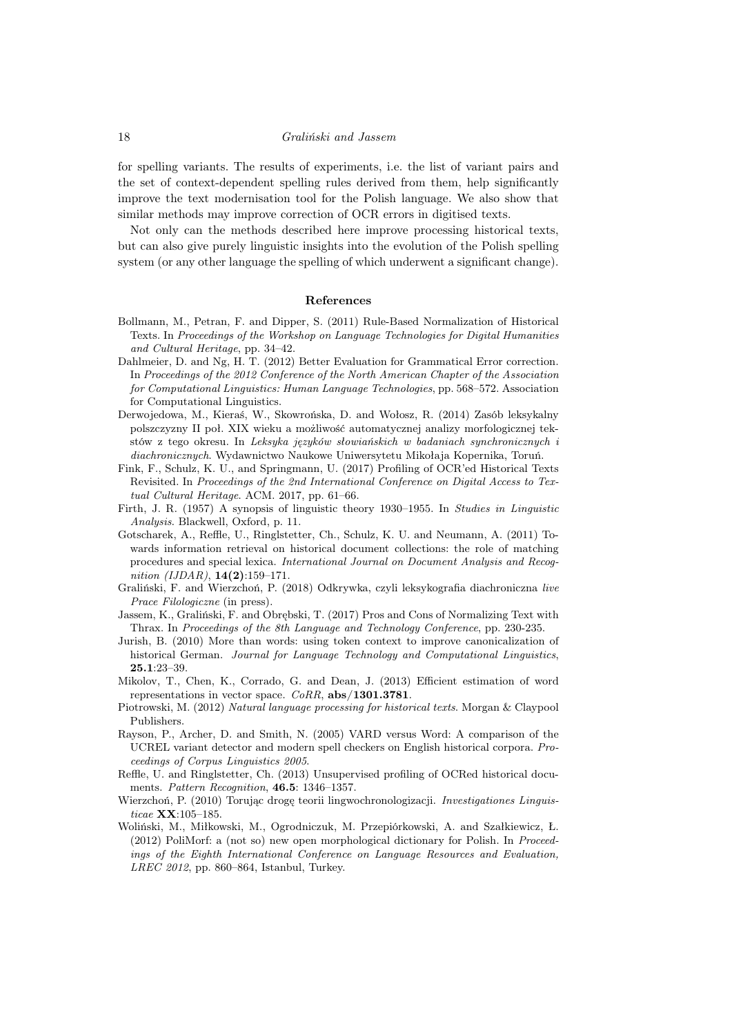for spelling variants. The results of experiments, i.e. the list of variant pairs and the set of context-dependent spelling rules derived from them, help significantly improve the text modernisation tool for the Polish language. We also show that similar methods may improve correction of OCR errors in digitised texts.

Not only can the methods described here improve processing historical texts, but can also give purely linguistic insights into the evolution of the Polish spelling system (or any other language the spelling of which underwent a significant change).

#### References

- <span id="page-18-2"></span>Bollmann, M., Petran, F. and Dipper, S. (2011) Rule-Based Normalization of Historical Texts. In Proceedings of the Workshop on Language Technologies for Digital Humanities and Cultural Heritage, pp. 34–42.
- <span id="page-18-10"></span>Dahlmeier, D. and Ng, H. T. (2012) Better Evaluation for Grammatical Error correction. In Proceedings of the 2012 Conference of the North American Chapter of the Association for Computational Linguistics: Human Language Technologies, pp. 568–572. Association for Computational Linguistics.
- Derwojedowa, M., Kieraś, W., Skowrońska, D. and Wołosz, R. (2014) Zasób leksykalny polszczyzny II poł. XIX wieku a możliwość automatycznej analizy morfologicznej tekstów z tego okresu. In Leksyka języków słowiańskich w badaniach synchronicznych i diachronicznych. Wydawnictwo Naukowe Uniwersytetu Mikołaja Kopernika, Toruń.
- <span id="page-18-4"></span>Fink, F., Schulz, K. U., and Springmann, U. (2017) Profiling of OCR'ed Historical Texts Revisited. In Proceedings of the 2nd International Conference on Digital Access to Textual Cultural Heritage. ACM. 2017, pp. 61–66.
- <span id="page-18-5"></span>Firth, J. R. (1957) A synopsis of linguistic theory 1930–1955. In Studies in Linguistic Analysis. Blackwell, Oxford, p. 11.
- Gotscharek, A., Reffle, U., Ringlstetter, Ch., Schulz, K. U. and Neumann, A. (2011) Towards information retrieval on historical document collections: the role of matching procedures and special lexica. International Journal on Document Analysis and Recognition (IJDAR),  $14(2):159-171$ .
- <span id="page-18-1"></span>Graliński, F. and Wierzchoń, P. (2018) Odkrywka, czyli leksykografia diachroniczna live Prace Filologiczne (in press).
- <span id="page-18-9"></span>Jassem, K., Graliński, F. and Obrębski, T. (2017) Pros and Cons of Normalizing Text with Thrax. In Proceedings of the 8th Language and Technology Conference, pp. 230-235.
- Jurish, B. (2010) More than words: using token context to improve canonicalization of historical German. Journal for Language Technology and Computational Linguistics, 25.1:23–39.
- Mikolov, T., Chen, K., Corrado, G. and Dean, J. (2013) Efficient estimation of word representations in vector space.  $CoRR$ , abs/1301.3781.
- <span id="page-18-0"></span>Piotrowski, M. (2012) Natural language processing for historical texts. Morgan & Claypool Publishers.
- <span id="page-18-8"></span>Rayson, P., Archer, D. and Smith, N. (2005) VARD versus Word: A comparison of the UCREL variant detector and modern spell checkers on English historical corpora. Proceedings of Corpus Linguistics 2005.
- <span id="page-18-3"></span>Reffle, U. and Ringlstetter, Ch. (2013) Unsupervised profiling of OCRed historical documents. Pattern Recognition, 46.5: 1346–1357.
- <span id="page-18-7"></span>Wierzchoń, P. (2010) Torując drogę teorii lingwochronologizacji. Investigationes Linguisticae XX:105–185.
- <span id="page-18-6"></span>Woliński, M., Miłkowski, M., Ogrodniczuk, M. Przepiórkowski, A. and Szałkiewicz, Ł. (2012) PoliMorf: a (not so) new open morphological dictionary for Polish. In Proceedings of the Eighth International Conference on Language Resources and Evaluation, LREC 2012, pp. 860–864, Istanbul, Turkey.